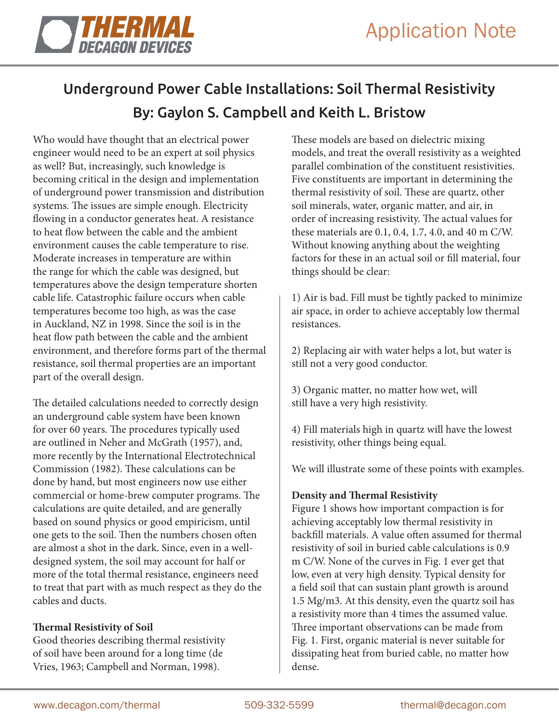

# Underground Power Cable Installations: Soil Thermal Resistivity By: Gaylon S. Campbell and Keith L. Bristow

Who would have thought that an electrical power engineer would need to be an expert at soil physics as well? But, increasingly, such knowledge is becoming critical in the design and implementation of underground power transmission and distribution systems. The issues are simple enough. Electricity flowing in a conductor generates heat. A resistance to heat flow between the cable and the ambient environment causes the cable temperature to rise. Moderate increases in temperature are within the range for which the cable was designed, but temperatures above the design temperature shorten cable life. Catastrophic failure occurs when cable temperatures become too high, as was the case in Auckland, NZ in 1998. Since the soil is in the heat flow path between the cable and the ambient environment, and therefore forms part of the thermal resistance, soil thermal properties are an important part of the overall design.

The detailed calculations needed to correctly design an underground cable system have been known for over 60 years. The procedures typically used are outlined in Neher and McGrath (1957), and, more recently by the International Electrotechnical Commission (1982). These calculations can be done by hand, but most engineers now use either commercial or home-brew computer programs. The calculations are quite detailed, and are generally based on sound physics or good empiricism, until one gets to the soil. Then the numbers chosen often are almost a shot in the dark. Since, even in a welldesigned system, the soil may account for half or more of the total thermal resistance, engineers need to treat that part with as much respect as they do the cables and ducts.

# **Thermal Resistivity of Soil**

Good theories describing thermal resistivity of soil have been around for a long time (de Vries, 1963; Campbell and Norman, 1998).

These models are based on dielectric mixing models, and treat the overall resistivity as a weighted parallel combination of the constituent resistivities. Five constituents are important in determining the thermal resistivity of soil. These are quartz, other soil minerals, water, organic matter, and air, in order of increasing resistivity. The actual values for these materials are 0.1, 0.4, 1.7, 4.0, and 40 m C/W. Without knowing anything about the weighting factors for these in an actual soil or fill material, four things should be clear:

1) Air is bad. Fill must be tightly packed to minimize air space, in order to achieve acceptably low thermal resistances.

2) Replacing air with water helps a lot, but water is still not a very good conductor.

3) Organic matter, no matter how wet, will still have a very high resistivity.

4) Fill materials high in quartz will have the lowest resistivity, other things being equal.

We will illustrate some of these points with examples.

### **Density and Thermal Resistivity**

Figure 1 shows how important compaction is for achieving acceptably low thermal resistivity in backfill materials. A value often assumed for thermal resistivity of soil in buried cable calculations is 0.9 m C/W. None of the curves in Fig. 1 ever get that low, even at very high density. Typical density for a field soil that can sustain plant growth is around 1.5 Mg/m3. At this density, even the quartz soil has a resistivity more than 4 times the assumed value. Three important observations can be made from Fig. 1. First, organic material is never suitable for dissipating heat from buried cable, no matter how dense.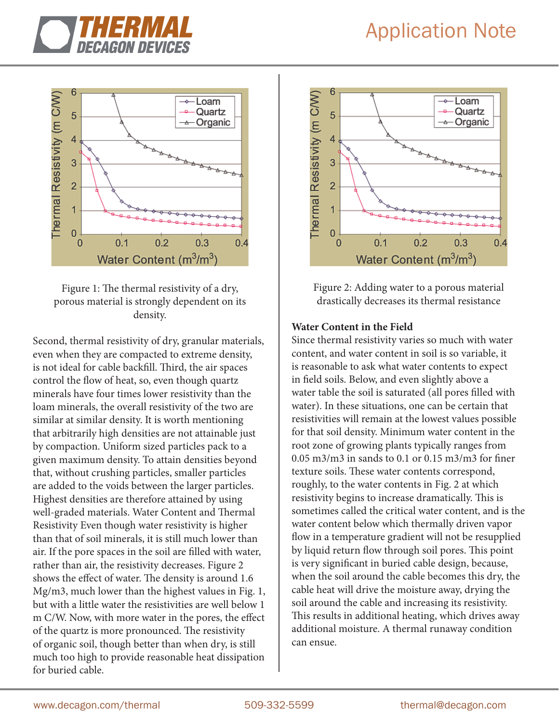# Application Note







Second, thermal resistivity of dry, granular materials, even when they are compacted to extreme density, is not ideal for cable backfill. Third, the air spaces control the flow of heat, so, even though quartz minerals have four times lower resistivity than the loam minerals, the overall resistivity of the two are similar at similar density. It is worth mentioning that arbitrarily high densities are not attainable just by compaction. Uniform sized particles pack to a given maximum density. To attain densities beyond that, without crushing particles, smaller particles are added to the voids between the larger particles. Highest densities are therefore attained by using well-graded materials. Water Content and Thermal Resistivity Even though water resistivity is higher than that of soil minerals, it is still much lower than air. If the pore spaces in the soil are filled with water, rather than air, the resistivity decreases. Figure 2 shows the effect of water. The density is around 1.6 Mg/m3, much lower than the highest values in Fig. 1, but with a little water the resistivities are well below 1 m C/W. Now, with more water in the pores, the effect of the quartz is more pronounced. The resistivity of organic soil, though better than when dry, is still much too high to provide reasonable heat dissipation for buried cable.



Figure 2: Adding water to a porous material drastically decreases its thermal resistance

#### **Water Content in the Field**

Since thermal resistivity varies so much with water content, and water content in soil is so variable, it is reasonable to ask what water contents to expect in field soils. Below, and even slightly above a water table the soil is saturated (all pores filled with water). In these situations, one can be certain that resistivities will remain at the lowest values possible for that soil density. Minimum water content in the root zone of growing plants typically ranges from 0.05 m3/m3 in sands to 0.1 or 0.15 m3/m3 for finer texture soils. These water contents correspond, roughly, to the water contents in Fig. 2 at which resistivity begins to increase dramatically. This is sometimes called the critical water content, and is the water content below which thermally driven vapor flow in a temperature gradient will not be resupplied by liquid return flow through soil pores. This point is very significant in buried cable design, because, when the soil around the cable becomes this dry, the cable heat will drive the moisture away, drying the soil around the cable and increasing its resistivity. This results in additional heating, which drives away additional moisture. A thermal runaway condition can ensue.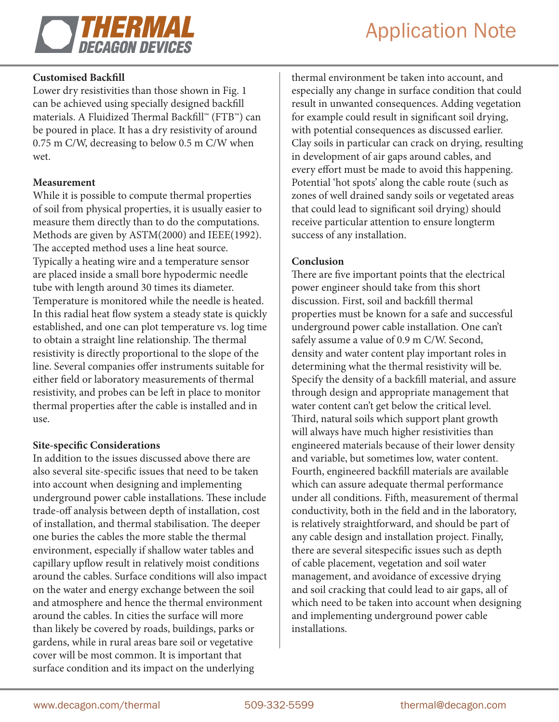

# Application Note

## **Customised Backfill**

Lower dry resistivities than those shown in Fig. 1 can be achieved using specially designed backfill materials. A Fluidized Thermal Backfill™ (FTB™) can be poured in place. It has a dry resistivity of around 0.75 m C/W, decreasing to below 0.5 m C/W when wet.

### **Measurement**

While it is possible to compute thermal properties of soil from physical properties, it is usually easier to measure them directly than to do the computations. Methods are given by ASTM(2000) and IEEE(1992). The accepted method uses a line heat source. Typically a heating wire and a temperature sensor are placed inside a small bore hypodermic needle tube with length around 30 times its diameter. Temperature is monitored while the needle is heated. In this radial heat flow system a steady state is quickly established, and one can plot temperature vs. log time to obtain a straight line relationship. The thermal resistivity is directly proportional to the slope of the line. Several companies offer instruments suitable for either field or laboratory measurements of thermal resistivity, and probes can be left in place to monitor thermal properties after the cable is installed and in use.

### **Site-specific Considerations**

In addition to the issues discussed above there are also several site-specific issues that need to be taken into account when designing and implementing underground power cable installations. These include trade-off analysis between depth of installation, cost of installation, and thermal stabilisation. The deeper one buries the cables the more stable the thermal environment, especially if shallow water tables and capillary upflow result in relatively moist conditions around the cables. Surface conditions will also impact on the water and energy exchange between the soil and atmosphere and hence the thermal environment around the cables. In cities the surface will more than likely be covered by roads, buildings, parks or gardens, while in rural areas bare soil or vegetative cover will be most common. It is important that surface condition and its impact on the underlying

thermal environment be taken into account, and especially any change in surface condition that could result in unwanted consequences. Adding vegetation for example could result in significant soil drying, with potential consequences as discussed earlier. Clay soils in particular can crack on drying, resulting in development of air gaps around cables, and every effort must be made to avoid this happening. Potential 'hot spots' along the cable route (such as zones of well drained sandy soils or vegetated areas that could lead to significant soil drying) should receive particular attention to ensure longterm success of any installation.

### **Conclusion**

There are five important points that the electrical power engineer should take from this short discussion. First, soil and backfill thermal properties must be known for a safe and successful underground power cable installation. One can't safely assume a value of 0.9 m C/W. Second, density and water content play important roles in determining what the thermal resistivity will be. Specify the density of a backfill material, and assure through design and appropriate management that water content can't get below the critical level. Third, natural soils which support plant growth will always have much higher resistivities than engineered materials because of their lower density and variable, but sometimes low, water content. Fourth, engineered backfill materials are available which can assure adequate thermal performance under all conditions. Fifth, measurement of thermal conductivity, both in the field and in the laboratory, is relatively straightforward, and should be part of any cable design and installation project. Finally, there are several sitespecific issues such as depth of cable placement, vegetation and soil water management, and avoidance of excessive drying and soil cracking that could lead to air gaps, all of which need to be taken into account when designing and implementing underground power cable installations.